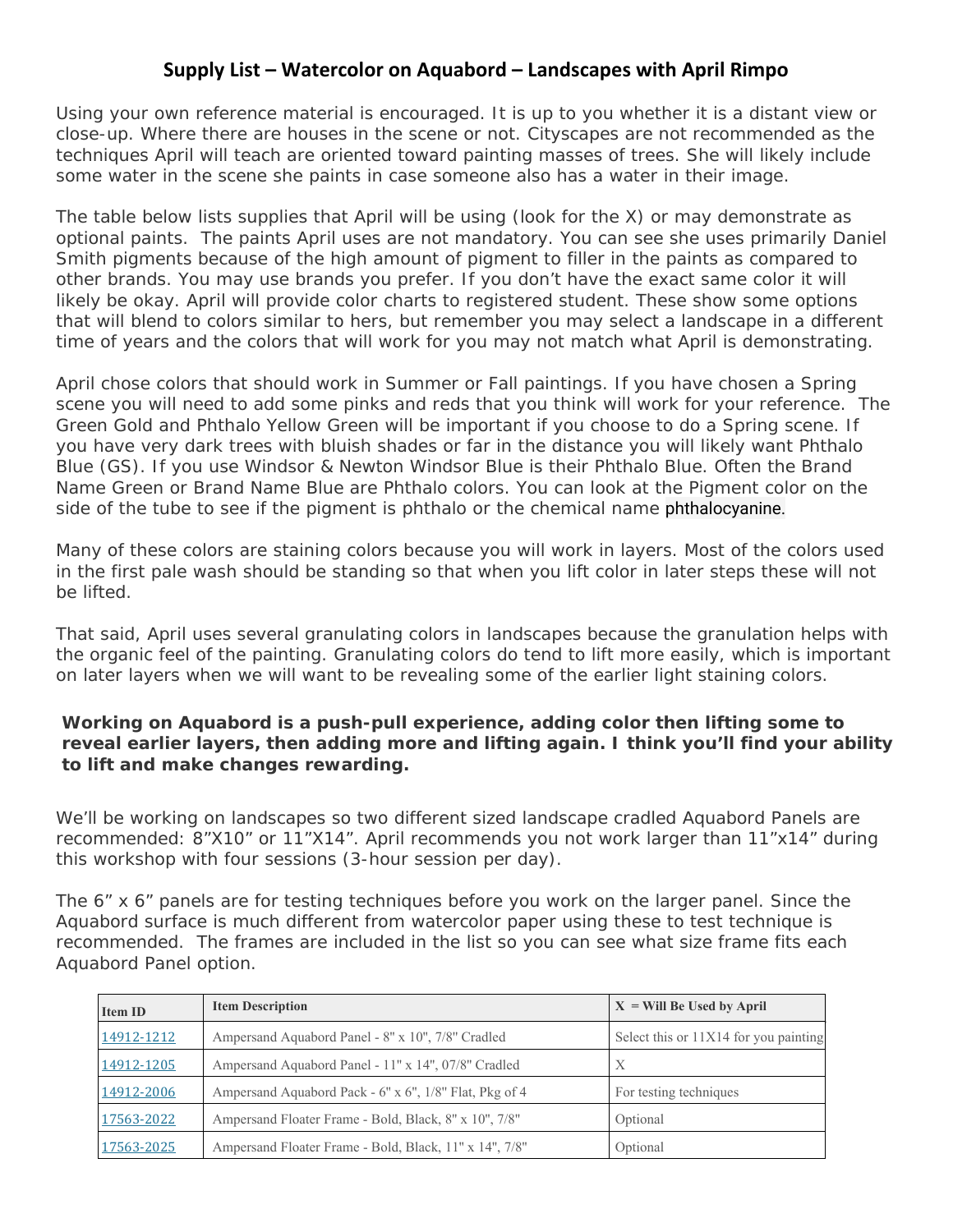## **Supply List – Watercolor on Aquabord – Landscapes with April Rimpo**

Using your own reference material is encouraged. It is up to you whether it is a distant view or close-up. Where there are houses in the scene or not. Cityscapes are not recommended as the techniques April will teach are oriented toward painting masses of trees. She will likely include some water in the scene she paints in case someone also has a water in their image.

The table below lists supplies that April will be using (look for the X) or may demonstrate as optional paints. The paints April uses are not mandatory. You can see she uses primarily Daniel Smith pigments because of the high amount of pigment to filler in the paints as compared to other brands. You may use brands you prefer. If you don't have the exact same color it will likely be okay. April will provide color charts to registered student. These show some options that will blend to colors similar to hers, but remember you may select a landscape in a different time of years and the colors that will work for you may not match what April is demonstrating.

April chose colors that should work in Summer or Fall paintings. If you have chosen a Spring scene you will need to add some pinks and reds that you think will work for your reference. The Green Gold and Phthalo Yellow Green will be important if you choose to do a Spring scene. If you have very dark trees with bluish shades or far in the distance you will likely want Phthalo Blue (GS). If you use Windsor & Newton Windsor Blue is their Phthalo Blue. Often the Brand Name Green or Brand Name Blue are Phthalo colors. You can look at the Pigment color on the side of the tube to see if the pigment is phthalo or the chemical name phthalocyanine.

Many of these colors are staining colors because you will work in layers. Most of the colors used in the first pale wash should be standing so that when you lift color in later steps these will not be lifted.

That said, April uses several granulating colors in landscapes because the granulation helps with the organic feel of the painting. Granulating colors do tend to lift more easily, which is important on later layers when we will want to be revealing some of the earlier light staining colors.

## **Working on Aquabord is a push-pull experience, adding color then lifting some to reveal earlier layers, then adding more and lifting again. I think you'll find your ability to lift and make changes rewarding.**

We'll be working on landscapes so two different sized landscape cradled Aquabord Panels are recommended: 8"X10" or 11"X14". April recommends you not work larger than 11"x14" during this workshop with four sessions (3-hour session per day).

The 6" x 6" panels are for testing techniques before you work on the larger panel. Since the Aquabord surface is much different from watercolor paper using these to test technique is recommended. The frames are included in the list so you can see what size frame fits each Aquabord Panel option.

| <b>Item ID</b> | <b>Item Description</b>                                | $X = Will Be Used by April$           |
|----------------|--------------------------------------------------------|---------------------------------------|
| 14912-1212     | Ampersand Aquabord Panel - 8" x 10", 7/8" Cradled      | Select this or 11X14 for you painting |
| 14912-1205     | Ampersand Aquabord Panel - 11" x 14", 07/8" Cradled    | X                                     |
| 14912-2006     | Ampersand Aquabord Pack - 6" x 6", 1/8" Flat, Pkg of 4 | For testing techniques                |
| 17563-2022     | Ampersand Floater Frame - Bold, Black, 8" x 10", 7/8"  | Optional                              |
| 17563-2025     | Ampersand Floater Frame - Bold, Black, 11" x 14", 7/8" | Optional                              |